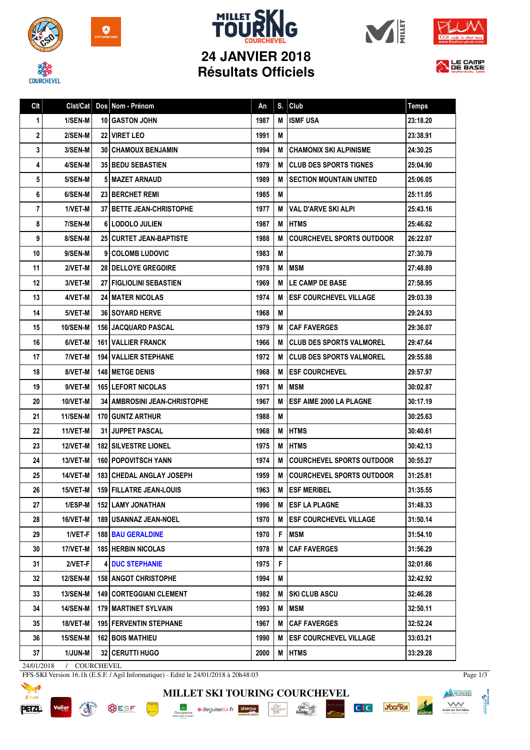









## **Résultats Officiels**



| Clt |                 |    | Clst/Cat   Dos   Nom - Prénom     | An   | S. | Club                             | <b>Temps</b> |
|-----|-----------------|----|-----------------------------------|------|----|----------------------------------|--------------|
| 1   | 1/SEN-M         | 10 | I GASTON JOHN                     | 1987 | M  | <b>ISMF USA</b>                  | 23:18.20     |
| 2   | 2/SEN-M         |    | <b>22 VIRET LEO</b>               | 1991 | м  |                                  | 23:38.91     |
| 3   | 3/SEN-M         |    | <b>30   CHAMOUX BENJAMIN</b>      | 1994 | м  | <b>CHAMONIX SKI ALPINISME</b>    | 24:30.25     |
| 4   | 4/SEN-M         |    | <b>35 BEDU SEBASTIEN</b>          | 1979 | м  | <b>CLUB DES SPORTS TIGNES</b>    | 25:04.90     |
| 5   | 5/SEN-M         | 5  | I MAZET ARNAUD                    | 1989 | M  | SECTION MOUNTAIN UNITED          | 25:06.05     |
| 6   | 6/SEN-M         |    | <b>23 BERCHET REMI</b>            | 1985 | M  |                                  | 25:11.05     |
| 7   | 1/VET-M         |    | <b>37 I BETTE JEAN-CHRISTOPHE</b> | 1977 | M  | VAL D'ARVE SKI ALPI              | 25:43.16     |
| 8   | 7/SEN-M         |    | <b>6 LODOLO JULIEN</b>            | 1987 | M  | <b>HTMS</b>                      | 25:46.62     |
| 9   | 8/SEN-M         |    | <b>25   CURTET JEAN-BAPTISTE</b>  | 1988 | M  | <b>COURCHEVEL SPORTS OUTDOOR</b> | 26:22.07     |
| 10  | 9/SEN-M         |    | 9 COLOMB LUDOVIC                  | 1983 | M  |                                  | 27:30.79     |
| 11  | 2/VET-M         |    | 28 DELLOYE GREGOIRE               | 1978 | M  | <b>IMSM</b>                      | 27:48.89     |
| 12  | 3/VET-M         |    | <b>27 FIGLIOLINI SEBASTIEN</b>    | 1969 | M  | <b>LE CAMP DE BASE</b>           | 27:58.95     |
| 13  | 4/VET-M         |    | <b>24 I MATER NICOLAS</b>         | 1974 | M  | <b>ESF COURCHEVEL VILLAGE</b>    | 29:03.39     |
| 14  | 5/VET-M         |    | <b>36 SOYARD HERVE</b>            | 1968 | M  |                                  | 29:24.93     |
| 15  | <b>10/SEN-M</b> |    | <b>156 JACQUARD PASCAL</b>        | 1979 | M  | <b>I CAF FAVERGES</b>            | 29:36.07     |
| 16  | 6/VET-M         |    | 161 VALLIER FRANCK                | 1966 | M  | <b>CLUB DES SPORTS VALMOREL</b>  | 29:47.64     |
| 17  | 7/VET-M         |    | <b>194   VALLIER STEPHANE</b>     | 1972 | M  | <b>ICLUB DES SPORTS VALMOREL</b> | 29:55.88     |
| 18  | 8/VET-M         |    | <b>148 IMETGE DENIS</b>           | 1968 | M  | <b>ESF COURCHEVEL</b>            | 29:57.97     |
| 19  | 9/VET-M         |    | <b>165 LEFORT NICOLAS</b>         | 1971 | M  | <b>MSM</b>                       | 30:02.87     |
| 20  | 10/VET-M        |    | 34 AMBROSINI JEAN-CHRISTOPHE      | 1967 | M  | <b>ESF AIME 2000 LA PLAGNE</b>   | 30:17.19     |
| 21  | <b>11/SEN-M</b> |    | <b>170 GUNTZ ARTHUR</b>           | 1988 | M  |                                  | 30:25.63     |
| 22  | 11/VET-M        |    | <b>31 JUPPET PASCAL</b>           | 1968 | M  | <b>IHTMS</b>                     | 30:40.61     |
| 23  | 12/VET-M        |    | <b>182 SILVESTRE LIONEL</b>       | 1975 | M  | <b>IHTMS</b>                     | 30:42.13     |
| 24  | 13/VET-M        |    | 160 POPOVITSCH YANN               | 1974 | M  | <b>COURCHEVEL SPORTS OUTDOOR</b> | 30:55.27     |
| 25  | 14/VET-M        |    | <b>183 CHEDAL ANGLAY JOSEPH</b>   | 1959 | M  | <b>COURCHEVEL SPORTS OUTDOOR</b> | 31:25.81     |
| 26  | 15/VET-M        |    | <b>159   FILLATRE JEAN-LOUIS</b>  | 1963 | M  | <b>ESF MERIBEL</b>               | 31:35.55     |
| 27  | $1/ESP-M$       |    | 152 LAMY JONATHAN                 | 1996 |    | M ESF LA PLAGNE                  | 31:48.33     |
| 28  | <b>16/VET-M</b> |    | 189 USANNAZ JEAN-NOEL             | 1970 |    | M <b>ESF COURCHEVEL VILLAGE</b>  | 31:50.14     |
| 29  | 1/VET-F         |    | <b>188 BAU GERALDINE</b>          | 1970 | F. | <b>MSM</b>                       | 31:54.10     |
| 30  | 17/VET-M        |    | <b>185 HERBIN NICOLAS</b>         | 1978 | M  | <b>CAF FAVERGES</b>              | 31:56.29     |
| 31  | 2/VET-F         |    | <b>DUC STEPHANIE</b>              | 1975 | F  |                                  | 32:01.66     |
| 32  | <b>12/SEN-M</b> |    | <b>158   ANGOT CHRISTOPHE</b>     | 1994 | М  |                                  | 32:42.92     |
| 33  | <b>13/SEN-M</b> |    | <b>149   CORTEGGIANI CLEMENT</b>  | 1982 | M  | <b>SKI CLUB ASCU</b>             | 32:46.28     |
| 34  | 14/SEN-M        |    | <b>179 I MARTINET SYLVAIN</b>     | 1993 | M  | <b>MSM</b>                       | 32:50.11     |
| 35  | 18/VET-M        |    | <b>195 FERVENTIN STEPHANE</b>     | 1967 | M  | <b>CAF FAVERGES</b>              | 32:52.24     |
| 36  | <b>15/SEN-M</b> |    | <b>162 BOIS MATHIEU</b>           | 1990 |    | M <b>ESF COURCHEVEL VILLAGE</b>  | 33:03.21     |
| 37  | 1/JUN-M         |    | 32 CERUTTI HUGO                   | 2000 |    | M HTMS                           | 33:29.28     |

24/01/2018 / COURCHEVEL

**PORT AND IN** 

FFS-SKI Version 16.1h (E.S.F. / Agil Informatique) - Edité le 24/01/2018 à 20h48:03

**BUSF** 



**MILLET SKI TOURING COURCHEVEL** Groupama **a**deguisetoi.fr **sherpa**  $\begin{array}{c}\n\hline\n\text{I}_{\text{A}}\text{J}_{\text{A}}\text{BU} \\
\text{M2} \text{CAVD} \\
\text{PERI}\n\end{array}$ 

 $\frac{\text{chez}}{\text{Cauchy}}$ 



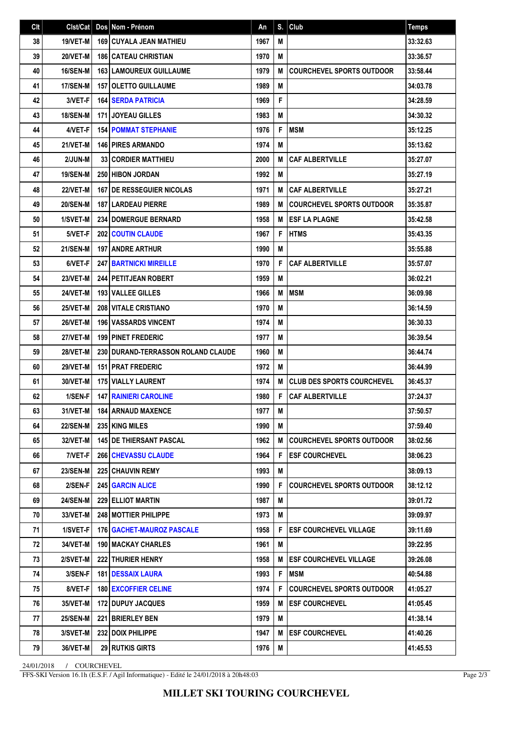| Clt | Clst/Cat        | Dos Nom - Prénom                            | An   | S. | $ $ Club                          | <b>Temps</b> |
|-----|-----------------|---------------------------------------------|------|----|-----------------------------------|--------------|
| 38  | 19/VET-M        | <b>169   CUYALA JEAN MATHIEU</b>            | 1967 | M  |                                   | 33:32.63     |
| 39  | 20/VET-M        | <b>186   CATEAU CHRISTIAN</b>               | 1970 | M  |                                   | 33:36.57     |
| 40  | <b>16/SEN-M</b> | <b>163 LAMOUREUX GUILLAUME</b>              | 1979 | M  | <b>COURCHEVEL SPORTS OUTDOOR</b>  | 33:58.44     |
| 41  | 17/SEN-M        | 157 OLETTO GUILLAUME                        | 1989 | M  |                                   | 34:03.78     |
| 42  | 3/VET-F         | <b>164 SERDA PATRICIA</b>                   | 1969 | F  |                                   | 34:28.59     |
| 43  | <b>18/SEN-M</b> | <b>171 JOYEAU GILLES</b>                    | 1983 | M  |                                   | 34:30.32     |
| 44  | 4/VET-F         | <b>154 POMMAT STEPHANIE</b>                 | 1976 | F  | <b>MSM</b>                        | 35:12.25     |
| 45  | 21/VET-M        | <b>146 PIRES ARMANDO</b>                    | 1974 | M  |                                   | 35:13.62     |
| 46  | 2/JUN-M         | <b>33 CORDIER MATTHIEU</b>                  | 2000 | M  | <b>CAF ALBERTVILLE</b>            | 35:27.07     |
| 47  | <b>19/SEN-M</b> | <b>250 HIBON JORDAN</b>                     | 1992 | M  |                                   | 35:27.19     |
| 48  | 22/VET-M        | <b>167 I DE RESSEGUIER NICOLAS</b>          | 1971 | M  | <b>CAF ALBERTVILLE</b>            | 35:27.21     |
| 49  | <b>20/SEN-M</b> | 187 LARDEAU PIERRE                          | 1989 | M  | <b>COURCHEVEL SPORTS OUTDOOR</b>  | 35:35.87     |
| 50  | 1/SVET-M        | <b>234 DOMERGUE BERNARD</b>                 | 1958 | М  | <b>ESF LA PLAGNE</b>              | 35:42.58     |
| 51  | 5/VET-F         | 202 COUTIN CLAUDE                           | 1967 | F  | <b>HTMS</b>                       | 35:43.35     |
| 52  | <b>21/SEN-M</b> | <b>197 ANDRE ARTHUR</b>                     | 1990 | M  |                                   | 35:55.88     |
| 53  | 6/VET-F         | <b>247 BARTNICKI MIREILLE</b>               | 1970 | F  | <b>CAF ALBERTVILLE</b>            | 35:57.07     |
| 54  | 23/VET-M        | 244 PETITJEAN ROBERT                        | 1959 | M  |                                   | 36:02.21     |
| 55  | 24/VET-M        | 193 VALLEE GILLES                           | 1966 | M  | <b>MSM</b>                        | 36:09.98     |
| 56  | 25/VET-M        | 208 VITALE CRISTIANO                        | 1970 | M  |                                   | 36:14.59     |
| 57  | 26/VET-M        | <b>196   VASSARDS VINCENT</b>               | 1974 | M  |                                   | 36:30.33     |
| 58  | 27/VET-M        | <b>199 PINET FREDERIC</b>                   | 1977 | M  |                                   | 36:39.54     |
| 59  | 28/VET-M        | <b>230 I DURAND-TERRASSON ROLAND CLAUDE</b> | 1960 | M  |                                   | 36:44.74     |
| 60  | <b>29/VET-M</b> | <b>151 PRAT FREDERIC</b>                    | 1972 | M  |                                   | 36:44.99     |
| 61  | 30/VET-M        | <b>175 VIALLY LAURENT</b>                   | 1974 | M  | <b>CLUB DES SPORTS COURCHEVEL</b> | 36:45.37     |
| 62  | 1/SEN-F         | <b>147 RAINIERI CAROLINE</b>                | 1980 | F  | <b>CAF ALBERTVILLE</b>            | 37:24.37     |
| 63  | 31/VET-M        | <b>184 ARNAUD MAXENCE</b>                   | 1977 | M  |                                   | 37:50.57     |
| 64  | 22/SEN-M        | 235 KING MILES                              | 1990 | M  |                                   | 37:59.40     |
| 65  | 32/VET-M        | <b>145   DE THIERSANT PASCAL</b>            | 1962 | M  | <b>COURCHEVEL SPORTS OUTDOOR</b>  | 38:02.56     |
| 66  | 7/VET-F         | <b>266 CHEVASSU CLAUDE</b>                  | 1964 | F  | <b>ESF COURCHEVEL</b>             | 38:06.23     |
| 67  | 23/SEN-M        | <b>225 CHAUVIN REMY</b>                     | 1993 | M  |                                   | 38:09.13     |
| 68  | 2/SEN-F         | <b>245 GARCIN ALICE</b>                     | 1990 | F  | <b>COURCHEVEL SPORTS OUTDOOR</b>  | 38:12.12     |
| 69  | 24/SEN-M        | 229 ELLIOT MARTIN                           | 1987 | M  |                                   | 39:01.72     |
| 70  | <b>33/VET-M</b> | <b>248   MOTTIER PHILIPPE</b>               | 1973 | М  |                                   | 39:09.97     |
| 71  | 1/SVET-F        | <b>176   GACHET-MAUROZ PASCALE</b>          | 1958 | F  | <b>ESF COURCHEVEL VILLAGE</b>     | 39:11.69     |
| 72  | 34/VET-M        | <b>190   MACKAY CHARLES</b>                 | 1961 | M  |                                   | 39:22.95     |
| 73  | 2/SVET-M        | <b>222 THURIER HENRY</b>                    | 1958 | M  | <b>IESF COURCHEVEL VILLAGE</b>    | 39:26.08     |
| 74  | 3/SEN-F         | <b>181   DESSAIX LAURA</b>                  | 1993 | F  | <b>IMSM</b>                       | 40:54.88     |
| 75  | 8/VET-F         | <b>180 EXCOFFIER CELINE</b>                 | 1974 | F  | COURCHEVEL SPORTS OUTDOOR         | 41:05.27     |
| 76  | <b>35/VET-M</b> | <b>172 DUPUY JACQUES</b>                    | 1959 | М  | <b> ESF COURCHEVEL</b>            | 41:05.45     |
| 77  | <b>25/SEN-M</b> | <b>221 BRIERLEY BEN</b>                     | 1979 | M  |                                   | 41:38.14     |
| 78  | <b>3/SVET-M</b> | 232 DOIX PHILIPPE                           | 1947 | M  | <b> ESF COURCHEVEL</b>            | 41:40.26     |
| 79  | 36/VET-M        | 29 RUTKIS GIRTS                             | 1976 | M  |                                   | 41:45.53     |

24/01/2018 / COURCHEVEL

FFS-SKI Version 16.1h (E.S.F. / Agil Informatique) - Edité le 24/01/2018 à 20h48:03

Page 2/3